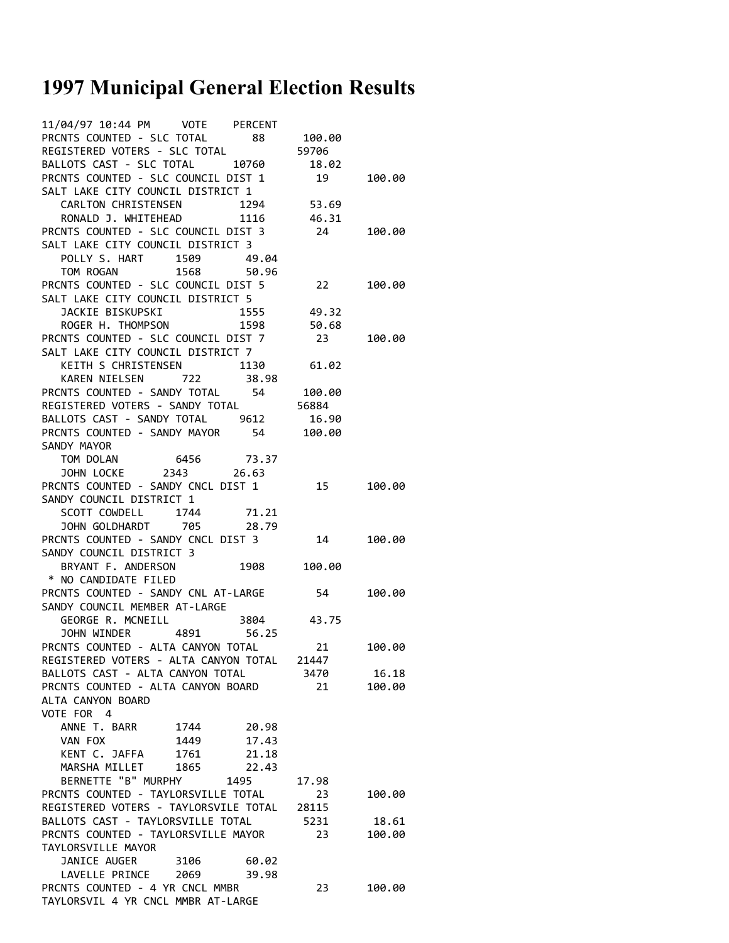## **1997 Municipal General Election Results**

| PRCNTS COUNTED - SLC TOTAL                                                                                                   |      |       |            |        |
|------------------------------------------------------------------------------------------------------------------------------|------|-------|------------|--------|
| REGISTERED VOTERS - SLC TOTAL 59706<br>BALLOTS CAST - SLC TOTAL 10760 18.02                                                  |      |       |            |        |
|                                                                                                                              |      |       |            |        |
| PRCNTS COUNTED - SLC COUNCIL DIST 1 19 100.00                                                                                |      |       |            |        |
| SALT LAKE CITY COUNCIL DISTRICT 1                                                                                            |      |       |            |        |
| CARLTON CHRISTENSEN 1294 53.69                                                                                               |      |       |            |        |
|                                                                                                                              |      |       |            |        |
| RONALD J. WHITEHEAD<br>PRCNTS COUNTED - SLC COUNCIL DIST 3 24 100.00                                                         |      |       |            |        |
| SALT LAKE CITY COUNCIL DISTRICT 3                                                                                            |      |       |            |        |
| POLLY S. HART 1509 49.04                                                                                                     |      |       |            |        |
| TOM ROGAN 1568 50.96                                                                                                         |      |       |            |        |
| PRCNTS COUNTED - SLC COUNCIL DIST 5 22 100.00                                                                                |      |       |            |        |
| SALT LAKE CITY COUNCIL DISTRICT 5                                                                                            |      |       |            |        |
|                                                                                                                              |      |       |            |        |
| 3ACKIE BISKUPSKI 1555 49.32<br>ROGER H. THOMPSON 1598 50.68                                                                  |      |       |            |        |
|                                                                                                                              |      |       |            |        |
| PRCNTS COUNTED - SLC COUNCIL DIST 7 23 100.00<br>SALT LAKE CITY COUNCIL DISTRICT 7                                           |      |       |            |        |
| KEITH S CHRISTENSEN 1130 61.02                                                                                               |      |       |            |        |
| KAREN NIELSEN 722 38.98                                                                                                      |      |       |            |        |
| PRCNTS COUNTED - SANDY TOTAL 54 100.00                                                                                       |      |       |            |        |
| REGISTERED VOTERS - SANDY TOTAL 56884                                                                                        |      |       |            |        |
| BALLOTS CAST - SANDY TOTAL 9612 16.90                                                                                        |      |       |            |        |
|                                                                                                                              |      |       |            |        |
| PRCNTS COUNTED - SANDY MAYOR 54 100.00                                                                                       |      |       |            |        |
| SANDY MAYOR                                                                                                                  |      |       |            |        |
|                                                                                                                              |      |       |            |        |
| PRCNTS COUNTED - SANDY CNCL DIST 1 15 100.00                                                                                 |      |       |            |        |
|                                                                                                                              |      |       |            |        |
| SANDY COUNCIL DISTRICT 1                                                                                                     |      |       |            |        |
| SCOTT COWDELL 1744 71.21                                                                                                     |      |       |            |        |
| JOHN GOLDHARDT 705 28.79<br><b>PRCNTS COUNTED - SANDY CNCL DIST 3</b><br><b>PRCNTS COUNTED - SANDY CNCL DIST 3</b> 14 100.00 |      |       |            |        |
|                                                                                                                              |      |       |            |        |
|                                                                                                                              |      |       |            |        |
| SANDY COUNCIL DISTRICT 3<br>BRYANT F. ANDERSON 1908 100.00<br>* NO CANDIDATE FILED                                           |      |       |            |        |
|                                                                                                                              |      |       |            |        |
| PRCNTS COUNTED - SANDY CNL AT-LARGE 54 100.00                                                                                |      |       |            |        |
| SANDY COUNCIL MEMBER AT-LARGE                                                                                                |      |       |            |        |
| GEORGE R. MCNEILL 3804 43.75                                                                                                 |      |       |            |        |
| JOHN WINDER 4891 56.25                                                                                                       |      |       |            |        |
| PRCNTS COUNTED - ALTA CANYON TOTAL                                                                                           |      |       | 21 100.00  |        |
| REGISTERED VOTERS - ALTA CANYON TOTAL 21447                                                                                  |      |       |            |        |
| BALLOTS CAST - ALTA CANYON TOTAL                                                                                             |      |       | 3470       | 16.18  |
| PRCNTS COUNTED - ALTA CANYON BOARD                                                                                           |      |       | 21         | 100.00 |
| ALTA CANYON BOARD                                                                                                            |      |       |            |        |
| VOTE FOR 4                                                                                                                   |      |       |            |        |
| ANNE T. BARR 1744 20.98                                                                                                      |      |       |            |        |
| VAN FOX                                                                                                                      | 1449 | 17.43 |            |        |
| KENT C. JAFFA                                                                                                                | 1761 | 21.18 |            |        |
| MARSHA MILLET 1865                                                                                                           |      | 22.43 |            |        |
| BERNETTE "B" MURPHY                                                                                                          |      | 1495  | 17.98      |        |
| PRCNTS COUNTED - TAYLORSVILLE TOTAL                                                                                          |      |       | 23         | 100.00 |
| REGISTERED VOTERS - TAYLORSVILE TOTAL 28115                                                                                  |      |       |            |        |
| BALLOTS CAST - TAYLORSVILLE TOTAL                                                                                            |      |       | 5231 18.61 |        |
| PRCNTS COUNTED - TAYLORSVILLE MAYOR                                                                                          |      |       | 23         | 100.00 |
| TAYLORSVILLE MAYOR                                                                                                           |      |       |            |        |
| JANICE AUGER                                                                                                                 | 3106 | 60.02 |            |        |
| LAVELLE PRINCE 2069                                                                                                          |      | 39.98 |            |        |
| PRCNTS COUNTED - 4 YR CNCL MMBR                                                                                              |      |       | 23         | 100.00 |
| TAYLORSVIL 4 YR CNCL MMBR AT-LARGE                                                                                           |      |       |            |        |